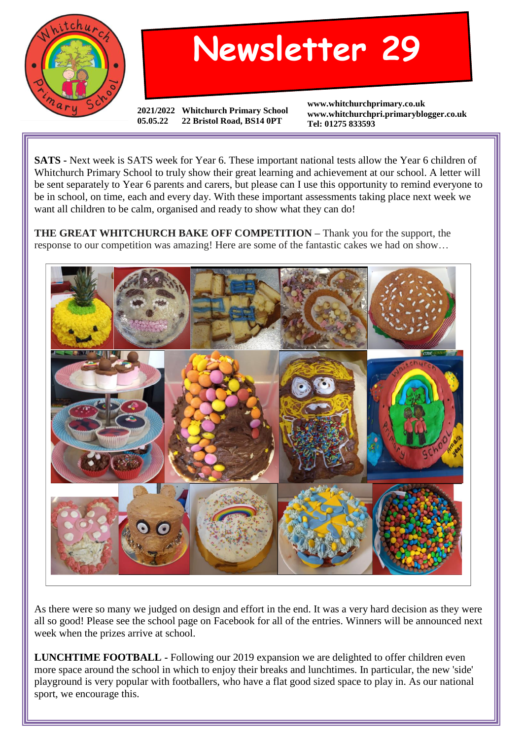

## **Newsletter 29**

**2021/2022 Whitchurch Primary School 05.05.22 22 Bristol Road, BS14 0PT**

**www.whitchurchprimary.co.uk www.whitchurchpri.primaryblogger.co.uk Tel: 01275 833593**

**SATS -** Next week is SATS week for Year 6. These important national tests allow the Year 6 children of Whitchurch Primary School to truly show their great learning and achievement at our school. A letter will be sent separately to Year 6 parents and carers, but please can I use this opportunity to remind everyone to be in school, on time, each and every day. With these important assessments taking place next week we want all children to be calm, organised and ready to show what they can do!

**THE GREAT WHITCHURCH BAKE OFF COMPETITION –** Thank you for the support, the response to our competition was amazing! Here are some of the fantastic cakes we had on show…



As there were so many we judged on design and effort in the end. It was a very hard decision as they were all so good! Please see the school page on Facebook for all of the entries. Winners will be announced next week when the prizes arrive at school.

**LUNCHTIME FOOTBALL -** Following our 2019 expansion we are delighted to offer children even more space around the school in which to enjoy their breaks and lunchtimes. In particular, the new 'side' playground is very popular with footballers, who have a flat good sized space to play in. As our national sport, we encourage this.